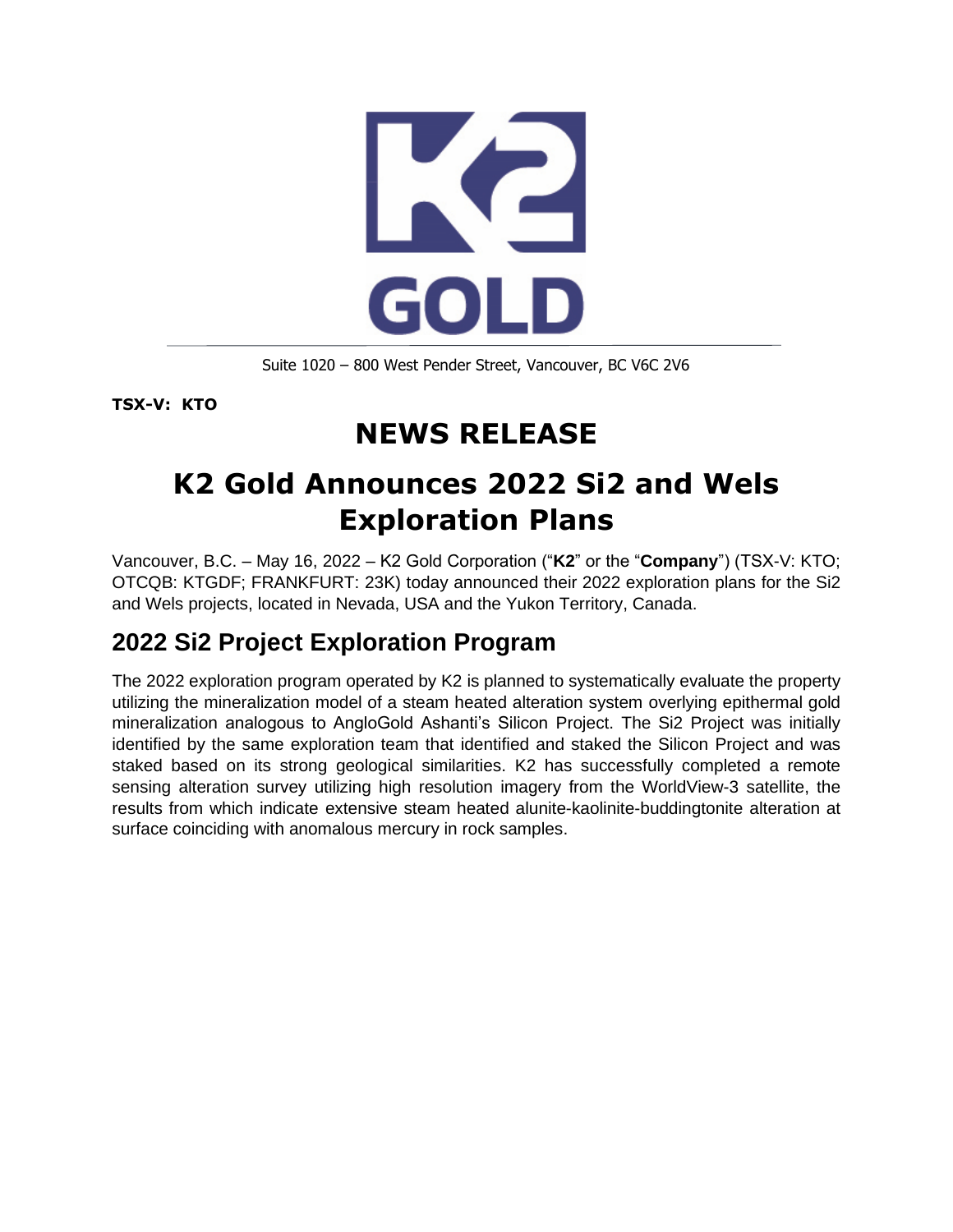

Suite 1020 – 800 West Pender Street, Vancouver, BC V6C 2V6

**TSX-V: KTO**

# **NEWS RELEASE**

## **K2 Gold Announces 2022 Si2 and Wels Exploration Plans**

Vancouver, B.C. – May 16, 2022 – K2 Gold Corporation ("**K2**" or the "**Company**") (TSX-V: KTO; OTCQB: KTGDF; FRANKFURT: 23K) today announced their 2022 exploration plans for the Si2 and Wels projects, located in Nevada, USA and the Yukon Territory, Canada.

## **2022 Si2 Project Exploration Program**

The 2022 exploration program operated by K2 is planned to systematically evaluate the property utilizing the mineralization model of a steam heated alteration system overlying epithermal gold mineralization analogous to AngloGold Ashanti's Silicon Project. The Si2 Project was initially identified by the same exploration team that identified and staked the Silicon Project and was staked based on its strong geological similarities. K2 has successfully completed a remote sensing alteration survey utilizing high resolution imagery from the WorldView-3 satellite, the results from which indicate extensive steam heated alunite-kaolinite-buddingtonite alteration at surface coinciding with anomalous mercury in rock samples.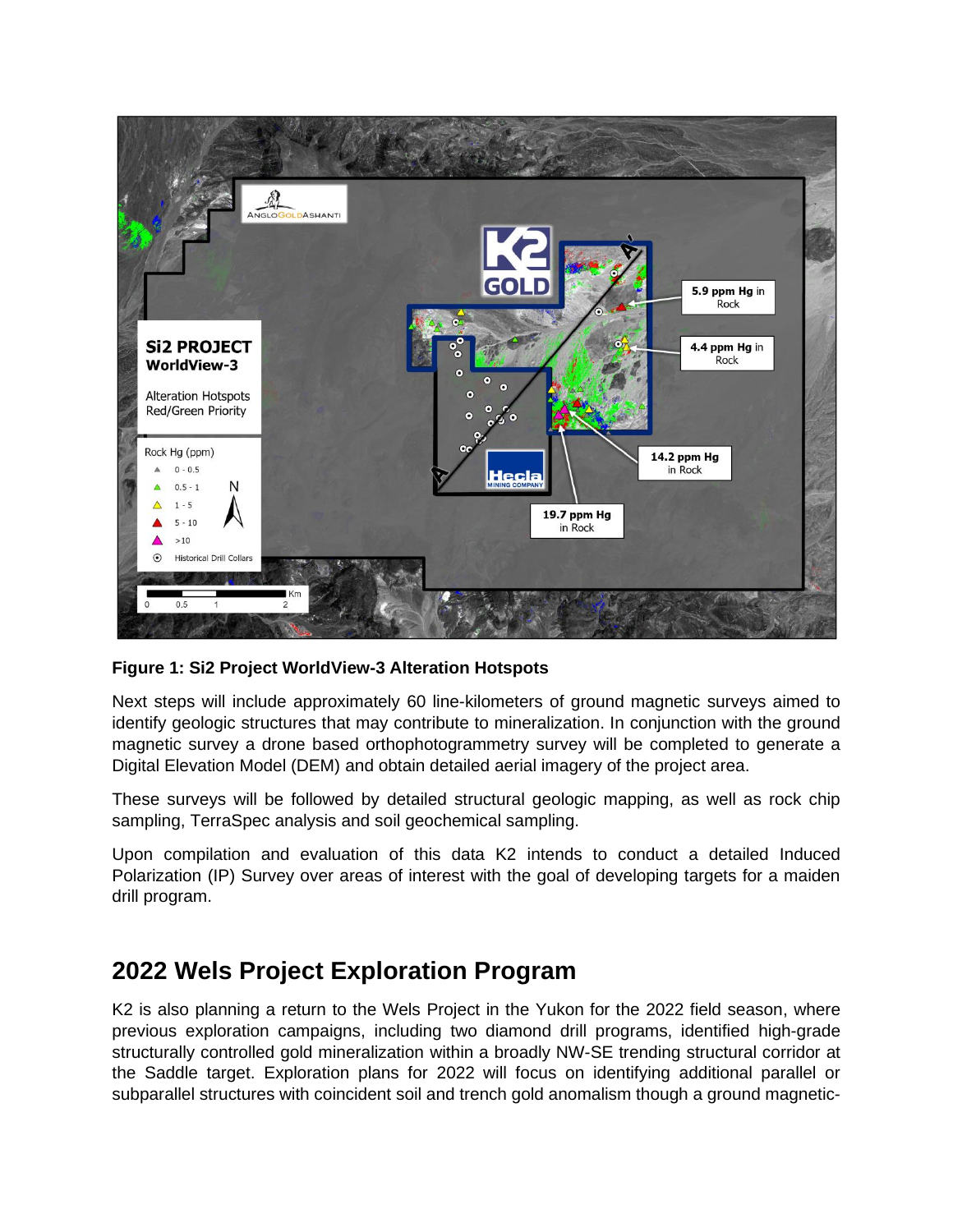

**Figure 1: Si2 Project WorldView-3 Alteration Hotspots**

Next steps will include approximately 60 line-kilometers of ground magnetic surveys aimed to identify geologic structures that may contribute to mineralization. In conjunction with the ground magnetic survey a drone based orthophotogrammetry survey will be completed to generate a Digital Elevation Model (DEM) and obtain detailed aerial imagery of the project area.

These surveys will be followed by detailed structural geologic mapping, as well as rock chip sampling, TerraSpec analysis and soil geochemical sampling.

Upon compilation and evaluation of this data K2 intends to conduct a detailed Induced Polarization (IP) Survey over areas of interest with the goal of developing targets for a maiden drill program.

#### **2022 Wels Project Exploration Program**

K2 is also planning a return to the Wels Project in the Yukon for the 2022 field season, where previous exploration campaigns, including two diamond drill programs, identified high-grade structurally controlled gold mineralization within a broadly NW-SE trending structural corridor at the Saddle target. Exploration plans for 2022 will focus on identifying additional parallel or subparallel structures with coincident soil and trench gold anomalism though a ground magnetic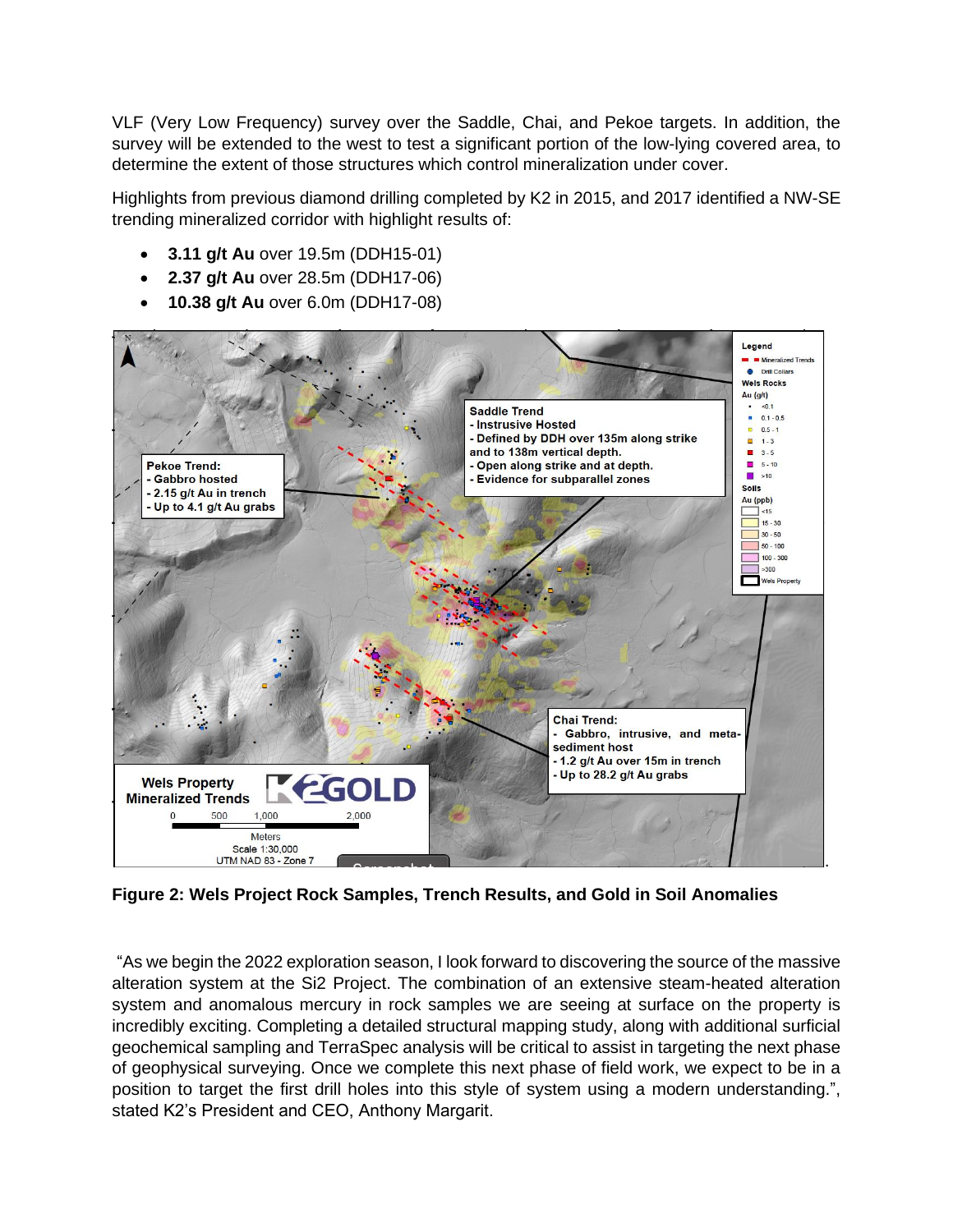VLF (Very Low Frequency) survey over the Saddle, Chai, and Pekoe targets. In addition, the survey will be extended to the west to test a significant portion of the low-lying covered area, to determine the extent of those structures which control mineralization under cover.

Highlights from previous diamond drilling completed by K2 in 2015, and 2017 identified a NW-SE trending mineralized corridor with highlight results of:

- **3.11 g/t Au** over 19.5m (DDH15-01)
- **2.37 g/t Au** over 28.5m (DDH17-06)
- **10.38 g/t Au** over 6.0m (DDH17-08)



**Figure 2: Wels Project Rock Samples, Trench Results, and Gold in Soil Anomalies**

"As we begin the 2022 exploration season, I look forward to discovering the source of the massive alteration system at the Si2 Project. The combination of an extensive steam-heated alteration system and anomalous mercury in rock samples we are seeing at surface on the property is incredibly exciting. Completing a detailed structural mapping study, along with additional surficial geochemical sampling and TerraSpec analysis will be critical to assist in targeting the next phase of geophysical surveying. Once we complete this next phase of field work, we expect to be in a position to target the first drill holes into this style of system using a modern understanding.", stated K2's President and CEO, Anthony Margarit.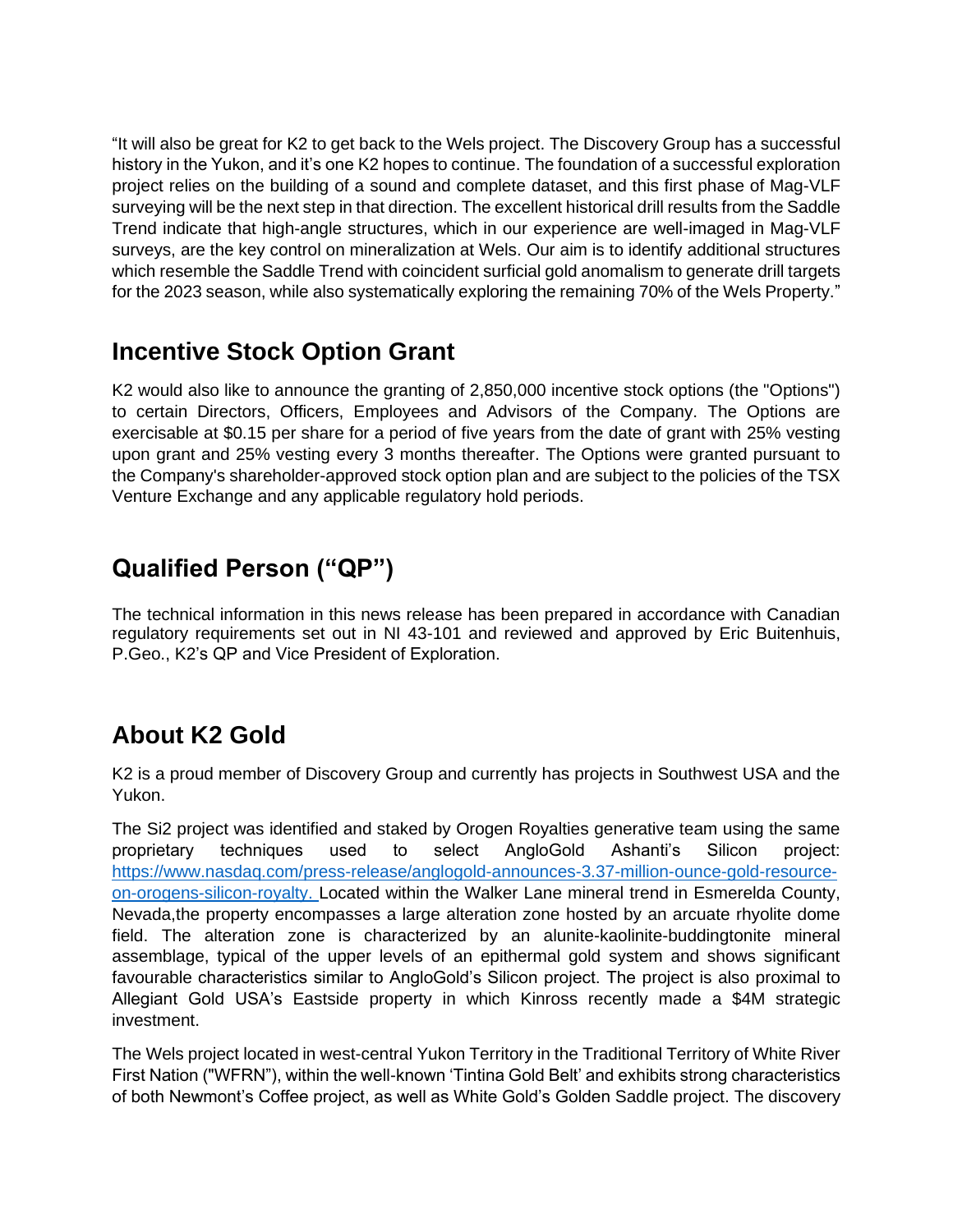"It will also be great for K2 to get back to the Wels project. The Discovery Group has a successful history in the Yukon, and it's one K2 hopes to continue. The foundation of a successful exploration project relies on the building of a sound and complete dataset, and this first phase of Mag-VLF surveying will be the next step in that direction. The excellent historical drill results from the Saddle Trend indicate that high-angle structures, which in our experience are well-imaged in Mag-VLF surveys, are the key control on mineralization at Wels. Our aim is to identify additional structures which resemble the Saddle Trend with coincident surficial gold anomalism to generate drill targets for the 2023 season, while also systematically exploring the remaining 70% of the Wels Property."

## **Incentive Stock Option Grant**

K2 would also like to announce the granting of 2,850,000 incentive stock options (the "Options") to certain Directors, Officers, Employees and Advisors of the Company. The Options are exercisable at \$0.15 per share for a period of five years from the date of grant with 25% vesting upon grant and 25% vesting every 3 months thereafter. The Options were granted pursuant to the Company's shareholder-approved stock option plan and are subject to the policies of the TSX Venture Exchange and any applicable regulatory hold periods.

## **Qualified Person ("QP")**

The technical information in this news release has been prepared in accordance with Canadian regulatory requirements set out in NI 43-101 and reviewed and approved by Eric Buitenhuis, P.Geo., K2's QP and Vice President of Exploration.

## **About K2 Gold**

K2 is a proud member of Discovery Group and currently has projects in Southwest USA and the Yukon.

The Si2 project was identified and staked by Orogen Royalties generative team using the same proprietary techniques used to select AngloGold Ashanti's Silicon project: [https://www.nasdaq.com/press-release/anglogold-announces-3.37-million-ounce-gold-resource](https://www.nasdaq.com/press-release/anglogold-announces-3.37-million-ounce-gold-resource-on-orogens-silicon-royalty)[on-orogens-silicon-royalty.](https://www.nasdaq.com/press-release/anglogold-announces-3.37-million-ounce-gold-resource-on-orogens-silicon-royalty) Located within the Walker Lane mineral trend in Esmerelda County, Nevada,the property encompasses a large alteration zone hosted by an arcuate rhyolite dome field. The alteration zone is characterized by an alunite-kaolinite-buddingtonite mineral assemblage, typical of the upper levels of an epithermal gold system and shows significant favourable characteristics similar to AngloGold's Silicon project. The project is also proximal to Allegiant Gold USA's Eastside property in which Kinross recently made a \$4M strategic investment.

The Wels project located in west-central Yukon Territory in the Traditional Territory of White River First Nation ("WFRN"), within the well-known 'Tintina Gold Belt' and exhibits strong characteristics of both Newmont's Coffee project, as well as White Gold's Golden Saddle project. The discovery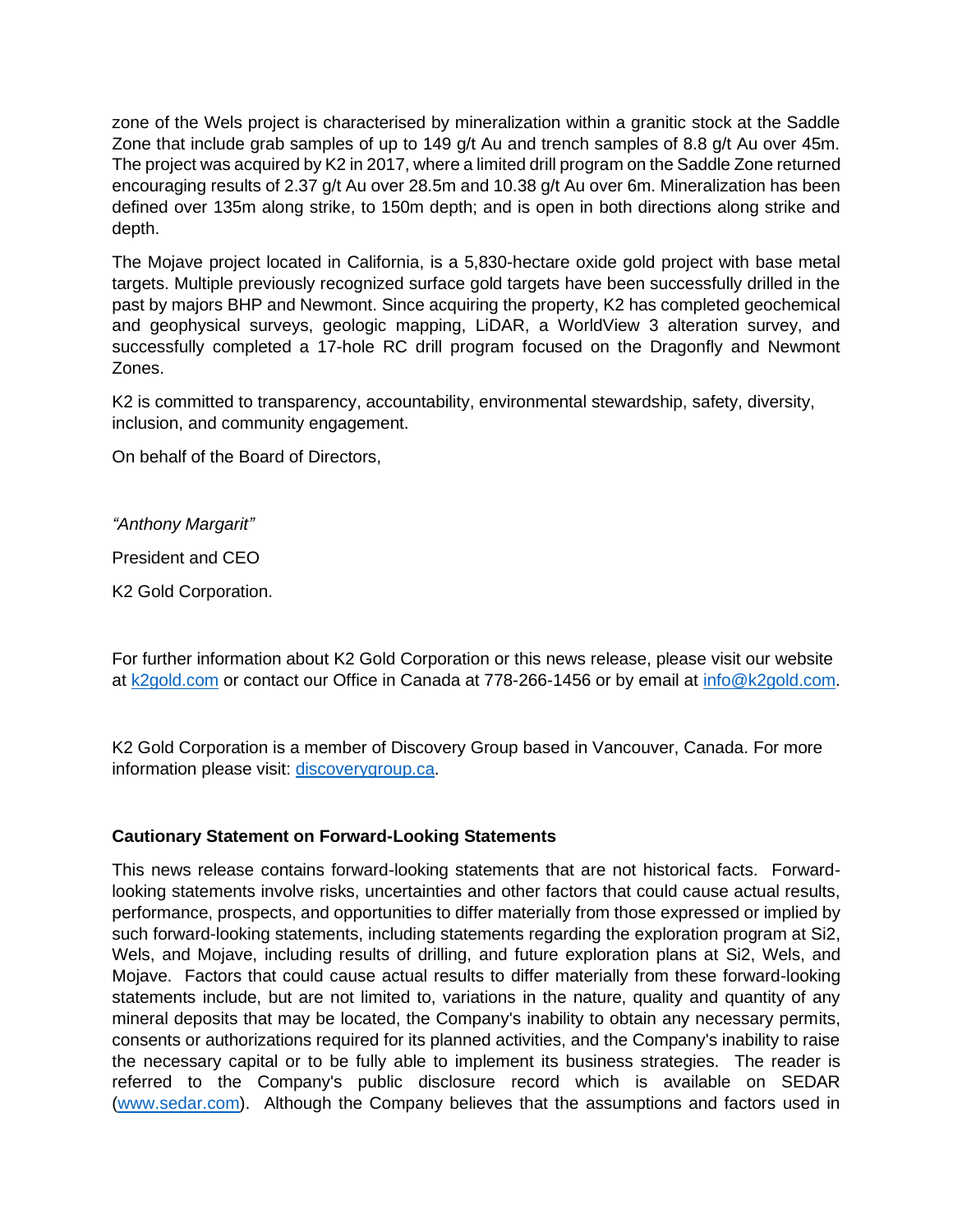zone of the Wels project is characterised by mineralization within a granitic stock at the Saddle Zone that include grab samples of up to 149 g/t Au and trench samples of 8.8 g/t Au over 45m. The project was acquired by K2 in 2017, where a limited drill program on the Saddle Zone returned encouraging results of 2.37 g/t Au over 28.5m and 10.38 g/t Au over 6m. Mineralization has been defined over 135m along strike, to 150m depth; and is open in both directions along strike and depth.

The Mojave project located in California, is a 5,830-hectare oxide gold project with base metal targets. Multiple previously recognized surface gold targets have been successfully drilled in the past by majors BHP and Newmont. Since acquiring the property, K2 has completed geochemical and geophysical surveys, geologic mapping, LiDAR, a WorldView 3 alteration survey, and successfully completed a 17-hole RC drill program focused on the Dragonfly and Newmont Zones.

K2 is committed to transparency, accountability, environmental stewardship, safety, diversity, inclusion, and community engagement.

On behalf of the Board of Directors,

*"Anthony Margarit"*

President and CEO

K2 Gold Corporation.

For further information about K2 Gold Corporation or this news release, please visit our website at [k2gold.com](http://k2gold.com/) or contact our Office in Canada at 778-266-1456 or by email at [info@k2gold.com.](mailto:info@k2gold.com)

K2 Gold Corporation is a member of Discovery Group based in Vancouver, Canada. For more information please visit: [discoverygroup.ca.](http://discoverygroup.ca/)

#### **Cautionary Statement on Forward-Looking Statements**

This news release contains forward-looking statements that are not historical facts. Forwardlooking statements involve risks, uncertainties and other factors that could cause actual results, performance, prospects, and opportunities to differ materially from those expressed or implied by such forward-looking statements, including statements regarding the exploration program at Si2, Wels, and Mojave, including results of drilling, and future exploration plans at Si2, Wels, and Mojave. Factors that could cause actual results to differ materially from these forward-looking statements include, but are not limited to, variations in the nature, quality and quantity of any mineral deposits that may be located, the Company's inability to obtain any necessary permits, consents or authorizations required for its planned activities, and the Company's inability to raise the necessary capital or to be fully able to implement its business strategies. The reader is referred to the Company's public disclosure record which is available on SEDAR [\(www.sedar.com\)](http://www.sedar.com/). Although the Company believes that the assumptions and factors used in